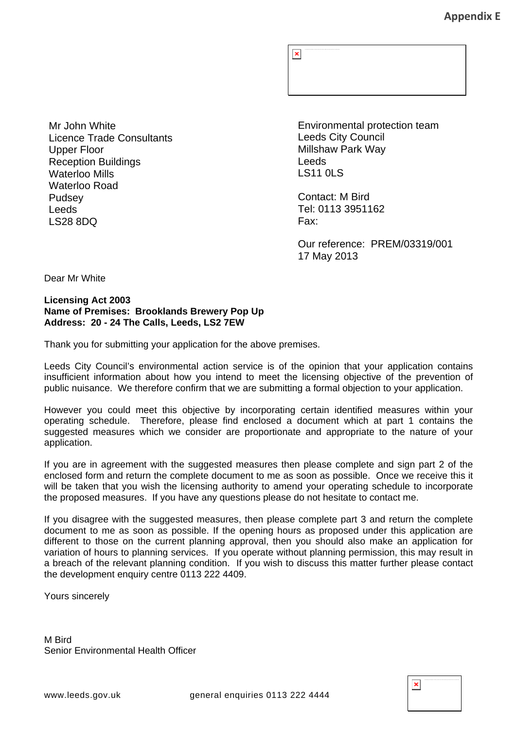$\pmb{\mathsf{x}}$ 

Mr John White Licence Trade Consultants Upper Floor Reception Buildings Waterloo Mills Waterloo Road Pudsey Leeds LS28 8DQ

Environmental protection team Leeds City Council Millshaw Park Way Leeds LS11 0LS

Contact: M Bird Tel: 0113 3951162 Fax:

Our reference: PREM/03319/001 17 May 2013

Dear Mr White

#### **Licensing Act 2003 Name of Premises: Brooklands Brewery Pop Up Address: 20 - 24 The Calls, Leeds, LS2 7EW**

Thank you for submitting your application for the above premises.

Leeds City Council's environmental action service is of the opinion that your application contains insufficient information about how you intend to meet the licensing objective of the prevention of public nuisance. We therefore confirm that we are submitting a formal objection to your application.

However you could meet this objective by incorporating certain identified measures within your operating schedule. Therefore, please find enclosed a document which at part 1 contains the suggested measures which we consider are proportionate and appropriate to the nature of your application.

If you are in agreement with the suggested measures then please complete and sign part 2 of the enclosed form and return the complete document to me as soon as possible. Once we receive this it will be taken that you wish the licensing authority to amend your operating schedule to incorporate the proposed measures. If you have any questions please do not hesitate to contact me.

If you disagree with the suggested measures, then please complete part 3 and return the complete document to me as soon as possible. If the opening hours as proposed under this application are different to those on the current planning approval, then you should also make an application for variation of hours to planning services. If you operate without planning permission, this may result in a breach of the relevant planning condition. If you wish to discuss this matter further please contact the development enquiry centre 0113 222 4409.

Yours sincerely

M Bird Senior Environmental Health Officer

 $\pmb{\times}$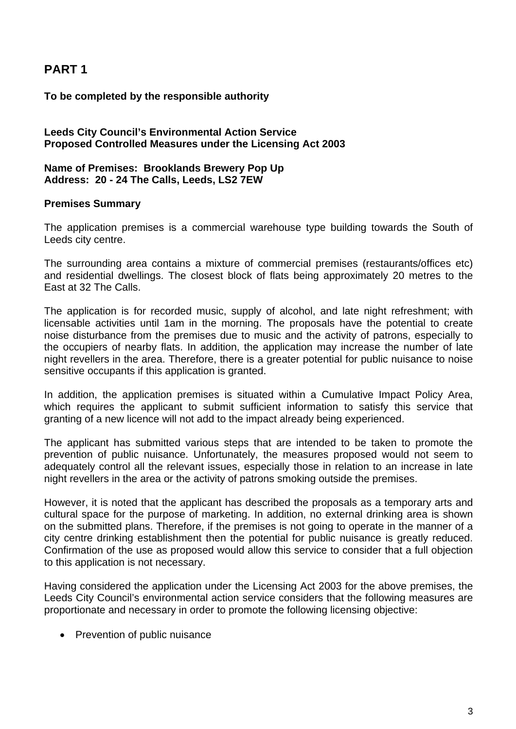# **PART 1**

# **To be completed by the responsible authority**

### **Leeds City Council's Environmental Action Service Proposed Controlled Measures under the Licensing Act 2003**

### **Name of Premises: Brooklands Brewery Pop Up Address: 20 - 24 The Calls, Leeds, LS2 7EW**

### **Premises Summary**

The application premises is a commercial warehouse type building towards the South of Leeds city centre.

The surrounding area contains a mixture of commercial premises (restaurants/offices etc) and residential dwellings. The closest block of flats being approximately 20 metres to the East at 32 The Calls.

The application is for recorded music, supply of alcohol, and late night refreshment; with licensable activities until 1am in the morning. The proposals have the potential to create noise disturbance from the premises due to music and the activity of patrons, especially to the occupiers of nearby flats. In addition, the application may increase the number of late night revellers in the area. Therefore, there is a greater potential for public nuisance to noise sensitive occupants if this application is granted.

In addition, the application premises is situated within a Cumulative Impact Policy Area, which requires the applicant to submit sufficient information to satisfy this service that granting of a new licence will not add to the impact already being experienced.

The applicant has submitted various steps that are intended to be taken to promote the prevention of public nuisance. Unfortunately, the measures proposed would not seem to adequately control all the relevant issues, especially those in relation to an increase in late night revellers in the area or the activity of patrons smoking outside the premises.

However, it is noted that the applicant has described the proposals as a temporary arts and cultural space for the purpose of marketing. In addition, no external drinking area is shown on the submitted plans. Therefore, if the premises is not going to operate in the manner of a city centre drinking establishment then the potential for public nuisance is greatly reduced. Confirmation of the use as proposed would allow this service to consider that a full objection to this application is not necessary.

Having considered the application under the Licensing Act 2003 for the above premises, the Leeds City Council's environmental action service considers that the following measures are proportionate and necessary in order to promote the following licensing objective:

• Prevention of public nuisance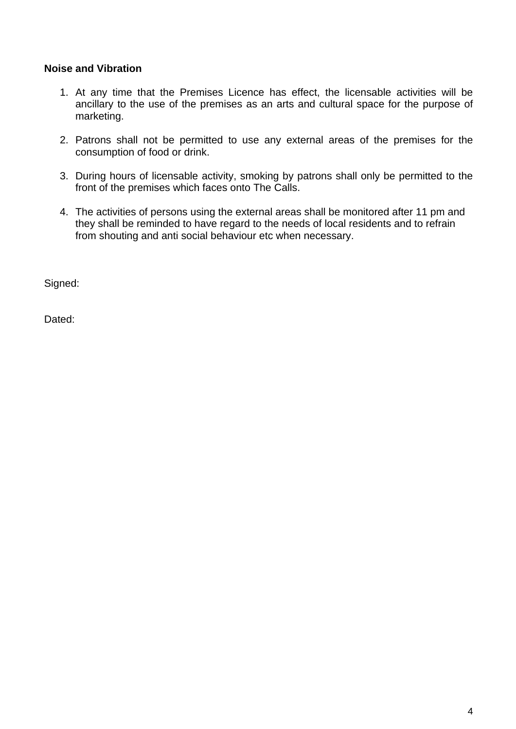# **Noise and Vibration**

- 1. At any time that the Premises Licence has effect, the licensable activities will be ancillary to the use of the premises as an arts and cultural space for the purpose of marketing.
- 2. Patrons shall not be permitted to use any external areas of the premises for the consumption of food or drink.
- 3. During hours of licensable activity, smoking by patrons shall only be permitted to the front of the premises which faces onto The Calls.
- 4. The activities of persons using the external areas shall be monitored after 11 pm and they shall be reminded to have regard to the needs of local residents and to refrain from shouting and anti social behaviour etc when necessary.

Signed:

Dated: